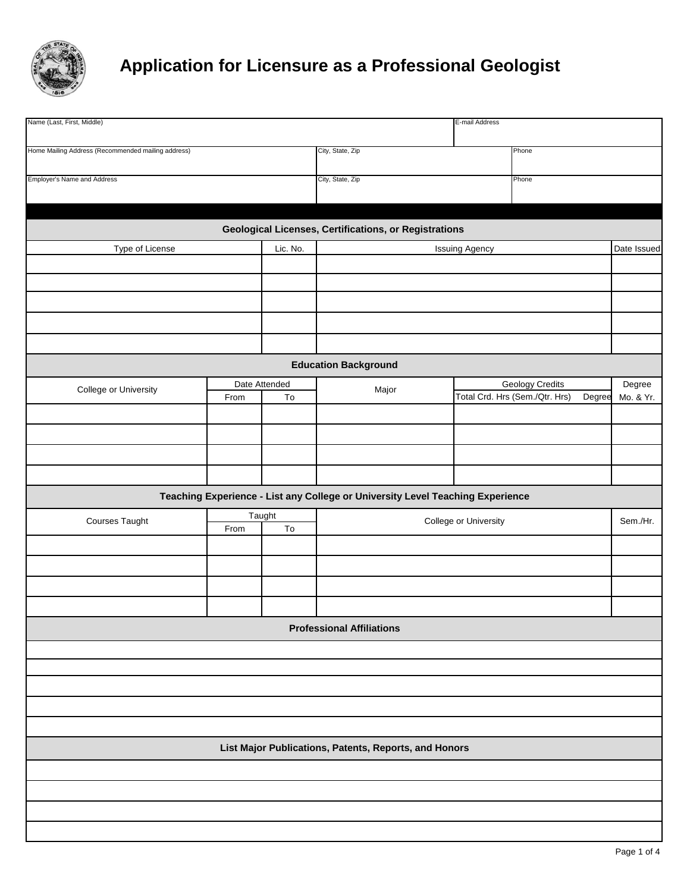

## **Application for Licensure as a Professional Geologist**

| Name (Last, First, Middle)                         |      |               |                                                                                | E-mail Address        |                                          |             |
|----------------------------------------------------|------|---------------|--------------------------------------------------------------------------------|-----------------------|------------------------------------------|-------------|
| Home Mailing Address (Recommended mailing address) |      |               | City, State, Zip                                                               |                       | Phone                                    |             |
|                                                    |      |               |                                                                                |                       |                                          |             |
| <b>Employer's Name and Address</b>                 |      |               | City, State, Zip                                                               |                       | Phone                                    |             |
|                                                    |      |               |                                                                                |                       |                                          |             |
|                                                    |      |               |                                                                                |                       |                                          |             |
|                                                    |      |               | <b>Geological Licenses, Certifications, or Registrations</b>                   |                       |                                          |             |
| Type of License                                    |      | Lic. No.      |                                                                                | <b>Issuing Agency</b> |                                          | Date Issued |
|                                                    |      |               |                                                                                |                       |                                          |             |
|                                                    |      |               |                                                                                |                       |                                          |             |
|                                                    |      |               |                                                                                |                       |                                          |             |
|                                                    |      |               |                                                                                |                       |                                          |             |
|                                                    |      |               |                                                                                |                       |                                          |             |
|                                                    |      |               |                                                                                |                       |                                          |             |
|                                                    |      |               | <b>Education Background</b>                                                    |                       |                                          |             |
| College or University                              |      | Date Attended | Major                                                                          |                       | Geology Credits                          | Degree      |
|                                                    | From | To            |                                                                                |                       | Total Crd. Hrs (Sem./Qtr. Hrs)<br>Degree | Mo. & Yr.   |
|                                                    |      |               |                                                                                |                       |                                          |             |
|                                                    |      |               |                                                                                |                       |                                          |             |
|                                                    |      |               |                                                                                |                       |                                          |             |
|                                                    |      |               |                                                                                |                       |                                          |             |
|                                                    |      |               |                                                                                |                       |                                          |             |
|                                                    |      |               | Teaching Experience - List any College or University Level Teaching Experience |                       |                                          |             |
| <b>Courses Taught</b>                              | From | Taught<br>To  | College or University                                                          |                       | Sem./Hr.                                 |             |
|                                                    |      |               |                                                                                |                       |                                          |             |
|                                                    |      |               |                                                                                |                       |                                          |             |
|                                                    |      |               |                                                                                |                       |                                          |             |
|                                                    |      |               |                                                                                |                       |                                          |             |
|                                                    |      |               |                                                                                |                       |                                          |             |
|                                                    |      |               | <b>Professional Affiliations</b>                                               |                       |                                          |             |
|                                                    |      |               |                                                                                |                       |                                          |             |
|                                                    |      |               |                                                                                |                       |                                          |             |
|                                                    |      |               |                                                                                |                       |                                          |             |
|                                                    |      |               |                                                                                |                       |                                          |             |
|                                                    |      |               |                                                                                |                       |                                          |             |
|                                                    |      |               |                                                                                |                       |                                          |             |
|                                                    |      |               | List Major Publications, Patents, Reports, and Honors                          |                       |                                          |             |
|                                                    |      |               |                                                                                |                       |                                          |             |
|                                                    |      |               |                                                                                |                       |                                          |             |
|                                                    |      |               |                                                                                |                       |                                          |             |
|                                                    |      |               |                                                                                |                       |                                          |             |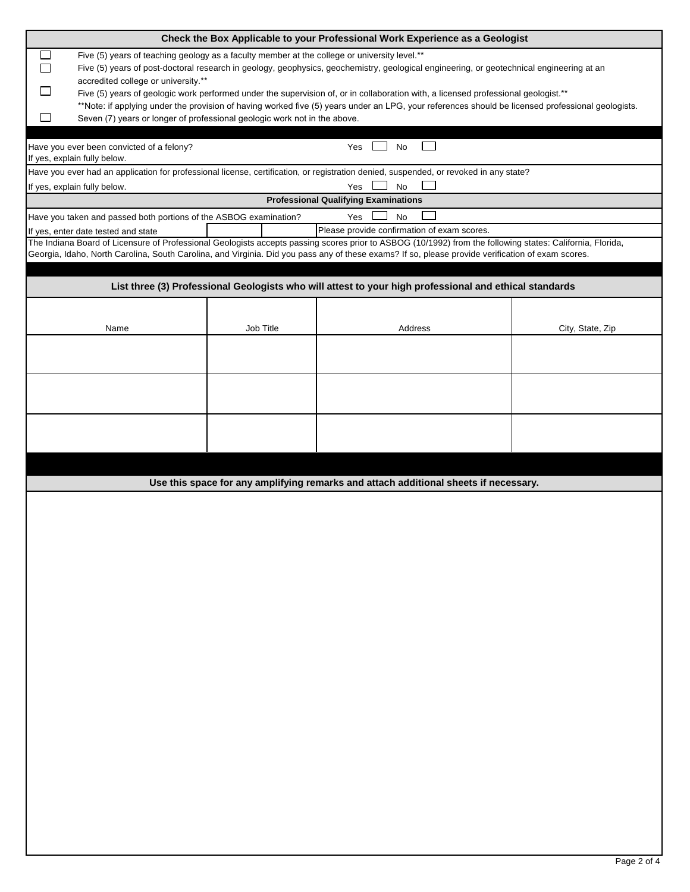|                                                                                              |           | Check the Box Applicable to your Professional Work Experience as a Geologist                                                                              |                  |
|----------------------------------------------------------------------------------------------|-----------|-----------------------------------------------------------------------------------------------------------------------------------------------------------|------------------|
| Five (5) years of teaching geology as a faculty member at the college or university level.** |           |                                                                                                                                                           |                  |
|                                                                                              |           | Five (5) years of post-doctoral research in geology, geophysics, geochemistry, geological engineering, or geotechnical engineering at an                  |                  |
| accredited college or university.**                                                          |           |                                                                                                                                                           |                  |
|                                                                                              |           | Five (5) years of geologic work performed under the supervision of, or in collaboration with, a licensed professional geologist.**                        |                  |
|                                                                                              |           | **Note: if applying under the provision of having worked five (5) years under an LPG, your references should be licensed professional geologists.         |                  |
| $\mathsf{L}$<br>Seven (7) years or longer of professional geologic work not in the above.    |           |                                                                                                                                                           |                  |
|                                                                                              |           |                                                                                                                                                           |                  |
| Have you ever been convicted of a felony?                                                    |           | No<br>Yes                                                                                                                                                 |                  |
| If yes, explain fully below.                                                                 |           |                                                                                                                                                           |                  |
|                                                                                              |           | Have you ever had an application for professional license, certification, or registration denied, suspended, or revoked in any state?                     |                  |
| If yes, explain fully below.                                                                 |           | <b>No</b><br>Yes                                                                                                                                          |                  |
|                                                                                              |           | <b>Professional Qualifying Examinations</b>                                                                                                               |                  |
| Have you taken and passed both portions of the ASBOG examination?                            |           | Yes<br>No                                                                                                                                                 |                  |
| If yes, enter date tested and state                                                          |           | Please provide confirmation of exam scores.                                                                                                               |                  |
|                                                                                              |           | The Indiana Board of Licensure of Professional Geologists accepts passing scores prior to ASBOG (10/1992) from the following states: California, Florida, |                  |
|                                                                                              |           | Georgia, Idaho, North Carolina, South Carolina, and Virginia. Did you pass any of these exams? If so, please provide verification of exam scores.         |                  |
|                                                                                              |           |                                                                                                                                                           |                  |
|                                                                                              |           | List three (3) Professional Geologists who will attest to your high professional and ethical standards                                                    |                  |
|                                                                                              |           |                                                                                                                                                           |                  |
|                                                                                              |           |                                                                                                                                                           |                  |
| Name                                                                                         | Job Title | Address                                                                                                                                                   | City, State, Zip |
|                                                                                              |           |                                                                                                                                                           |                  |
|                                                                                              |           |                                                                                                                                                           |                  |
|                                                                                              |           |                                                                                                                                                           |                  |
|                                                                                              |           |                                                                                                                                                           |                  |
|                                                                                              |           |                                                                                                                                                           |                  |
|                                                                                              |           |                                                                                                                                                           |                  |
|                                                                                              |           |                                                                                                                                                           |                  |
|                                                                                              |           |                                                                                                                                                           |                  |
|                                                                                              |           |                                                                                                                                                           |                  |
|                                                                                              |           |                                                                                                                                                           |                  |
|                                                                                              |           | Use this space for any amplifying remarks and attach additional sheets if necessary.                                                                      |                  |
|                                                                                              |           |                                                                                                                                                           |                  |
|                                                                                              |           |                                                                                                                                                           |                  |
|                                                                                              |           |                                                                                                                                                           |                  |
|                                                                                              |           |                                                                                                                                                           |                  |
|                                                                                              |           |                                                                                                                                                           |                  |
|                                                                                              |           |                                                                                                                                                           |                  |
|                                                                                              |           |                                                                                                                                                           |                  |
|                                                                                              |           |                                                                                                                                                           |                  |
|                                                                                              |           |                                                                                                                                                           |                  |
|                                                                                              |           |                                                                                                                                                           |                  |
|                                                                                              |           |                                                                                                                                                           |                  |
|                                                                                              |           |                                                                                                                                                           |                  |
|                                                                                              |           |                                                                                                                                                           |                  |
|                                                                                              |           |                                                                                                                                                           |                  |
|                                                                                              |           |                                                                                                                                                           |                  |
|                                                                                              |           |                                                                                                                                                           |                  |
|                                                                                              |           |                                                                                                                                                           |                  |
|                                                                                              |           |                                                                                                                                                           |                  |
|                                                                                              |           |                                                                                                                                                           |                  |
|                                                                                              |           |                                                                                                                                                           |                  |
|                                                                                              |           |                                                                                                                                                           |                  |
|                                                                                              |           |                                                                                                                                                           |                  |
|                                                                                              |           |                                                                                                                                                           |                  |
|                                                                                              |           |                                                                                                                                                           |                  |
|                                                                                              |           |                                                                                                                                                           |                  |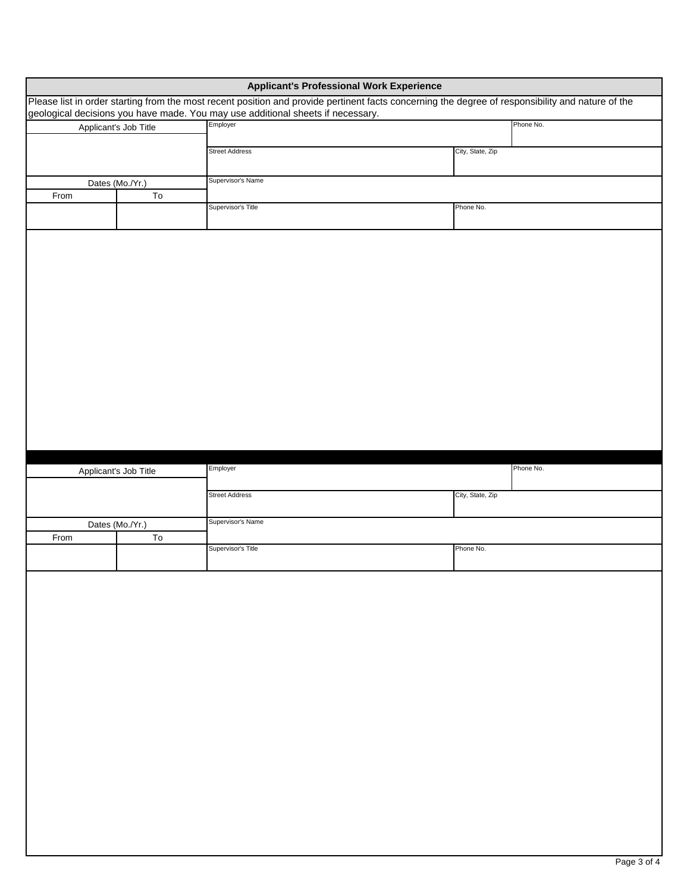|      |                       | <b>Applicant's Professional Work Experience</b>                                                                                                                                                                                      |                  |           |
|------|-----------------------|--------------------------------------------------------------------------------------------------------------------------------------------------------------------------------------------------------------------------------------|------------------|-----------|
|      |                       | Please list in order starting from the most recent position and provide pertinent facts concerning the degree of responsibility and nature of the<br>geological decisions you have made. You may use additional sheets if necessary. |                  |           |
|      | Applicant's Job Title | Employer                                                                                                                                                                                                                             |                  | Phone No. |
|      |                       | <b>Street Address</b>                                                                                                                                                                                                                | City, State, Zip |           |
|      |                       |                                                                                                                                                                                                                                      |                  |           |
| From | Dates (Mo./Yr.)<br>To | Supervisor's Name                                                                                                                                                                                                                    |                  |           |
|      |                       | Supervisor's Title                                                                                                                                                                                                                   | Phone No.        |           |
|      |                       |                                                                                                                                                                                                                                      |                  |           |
|      |                       |                                                                                                                                                                                                                                      |                  |           |
|      |                       |                                                                                                                                                                                                                                      |                  |           |
|      |                       |                                                                                                                                                                                                                                      |                  |           |
|      |                       |                                                                                                                                                                                                                                      |                  |           |
|      |                       |                                                                                                                                                                                                                                      |                  |           |
|      |                       |                                                                                                                                                                                                                                      |                  |           |
|      |                       |                                                                                                                                                                                                                                      |                  |           |
|      |                       |                                                                                                                                                                                                                                      |                  |           |
|      |                       |                                                                                                                                                                                                                                      |                  |           |
|      |                       |                                                                                                                                                                                                                                      |                  |           |
|      |                       |                                                                                                                                                                                                                                      |                  |           |
|      |                       |                                                                                                                                                                                                                                      |                  |           |
|      |                       |                                                                                                                                                                                                                                      |                  |           |
|      |                       | Employer                                                                                                                                                                                                                             |                  | Phone No. |
|      | Applicant's Job Title |                                                                                                                                                                                                                                      |                  |           |
|      |                       | <b>Street Address</b>                                                                                                                                                                                                                | City, State, Zip |           |
|      | Dates (Mo./Yr.)       | Supervisor's Name                                                                                                                                                                                                                    |                  |           |
| From | To                    |                                                                                                                                                                                                                                      |                  |           |
|      |                       | Supervisor's Title                                                                                                                                                                                                                   | Phone No.        |           |
|      |                       |                                                                                                                                                                                                                                      |                  |           |
|      |                       |                                                                                                                                                                                                                                      |                  |           |
|      |                       |                                                                                                                                                                                                                                      |                  |           |
|      |                       |                                                                                                                                                                                                                                      |                  |           |
|      |                       |                                                                                                                                                                                                                                      |                  |           |
|      |                       |                                                                                                                                                                                                                                      |                  |           |
|      |                       |                                                                                                                                                                                                                                      |                  |           |
|      |                       |                                                                                                                                                                                                                                      |                  |           |
|      |                       |                                                                                                                                                                                                                                      |                  |           |
|      |                       |                                                                                                                                                                                                                                      |                  |           |
|      |                       |                                                                                                                                                                                                                                      |                  |           |
|      |                       |                                                                                                                                                                                                                                      |                  |           |
|      |                       |                                                                                                                                                                                                                                      |                  |           |
|      |                       |                                                                                                                                                                                                                                      |                  |           |
|      |                       |                                                                                                                                                                                                                                      |                  |           |